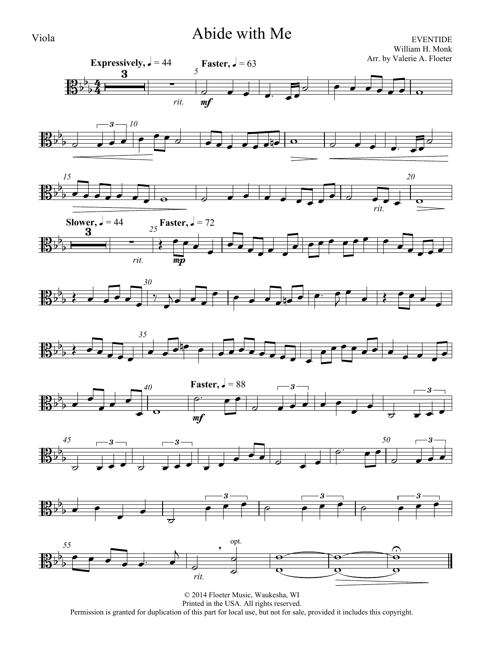# Viola Abide with Me

EVENTIDE William H. Monk



Permission is granted for duplication of this part for local use, but not for sale, provided it includes this copyright.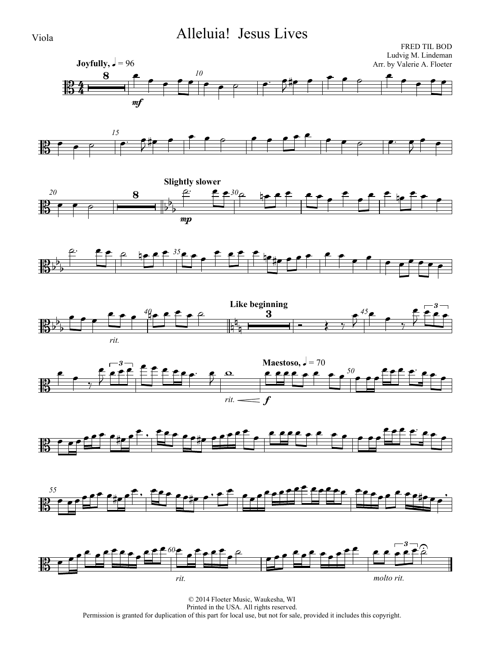# Viola Alleluia! Jesus Lives

















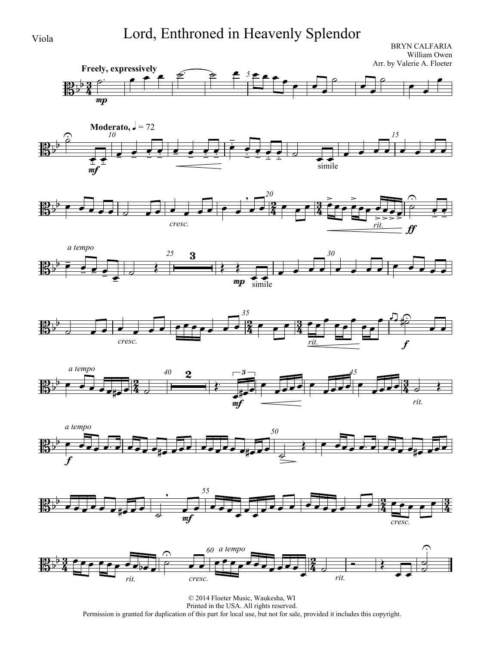# Viola Lord, Enthroned in Heavenly Splendor

BRYN CALFARIA William Owen Arr. by Valerie A. Floeter

















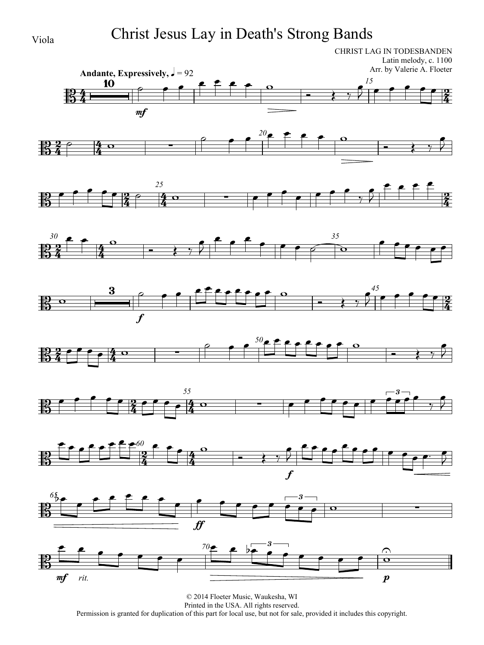# Viola Christ Jesus Lay in Death's Strong Bands

CHRIST LAG IN TODESBANDEN Latin melody, c. 1100 Arr. by Valerie A. Floeter



















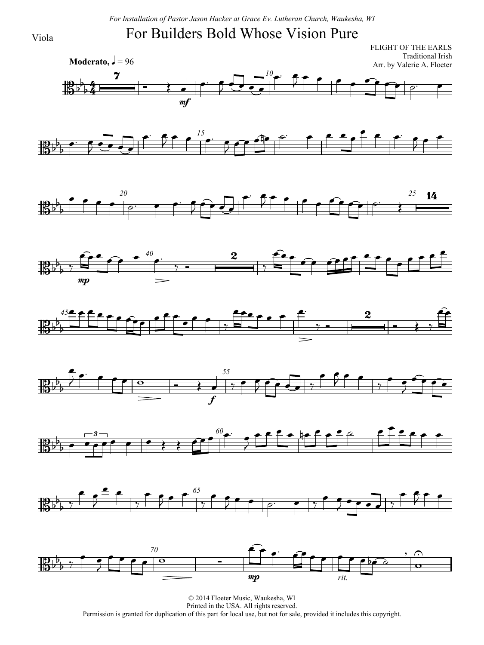*For Installation of Pastor Jason Hacker at Grace Ev. Lutheran Church, Waukesha, WI*

# For Builders Bold Whose Vision Pure



















© 2014 Floeter Music, Waukesha, WI Printed in the USA. All rights reserved. Permission is granted for duplication of this part for local use, but not for sale, provided it includes this copyright.

Viola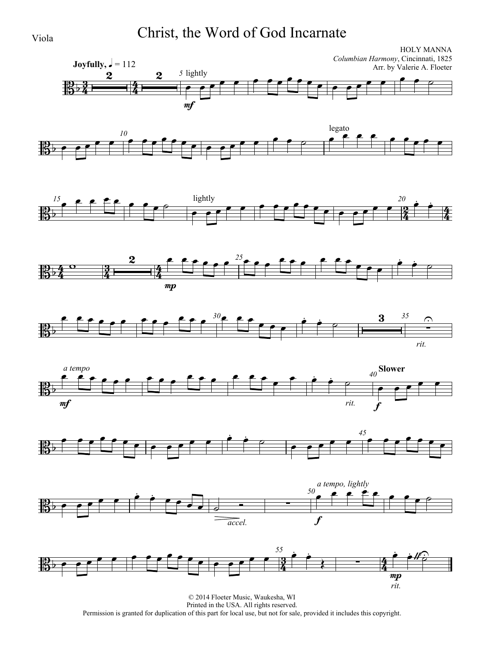Viola Christ, the Word of God Incarnate











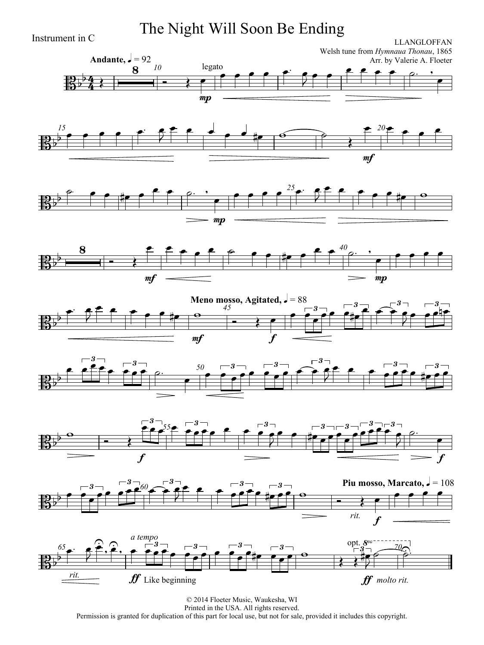Instrument in C **The Night Will Soon Be Ending**